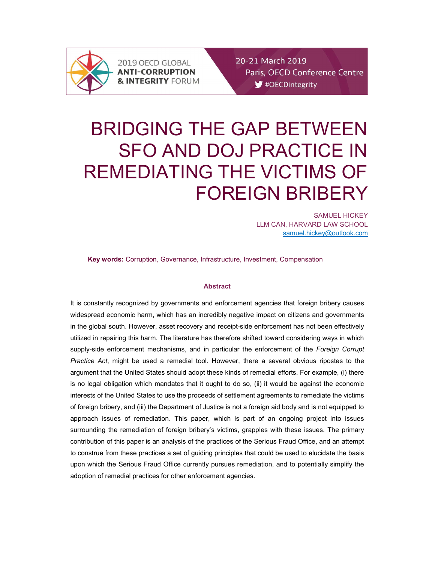

2019 OECD GLOBAL **ANTI-CORRUPTION & INTEGRITY FORUM**  20-21 March 2019 Paris, OECD Conference Centre  $\blacktriangleright$  #OECDintegrity

# BRIDGING THE GAP BETWEEN SFO AND DOJ PRACTICE IN REMEDIATING THE VICTIMS OF FOREIGN BRIBERY

SAMUEL HICKEY LLM CAN, HARVARD LAW SCHOOL samuel.hickey@outlook.com

Key words: Corruption, Governance, Infrastructure, Investment, Compensation

## Abstract

It is constantly recognized by governments and enforcement agencies that foreign bribery causes widespread economic harm, which has an incredibly negative impact on citizens and governments in the global south. However, asset recovery and receipt-side enforcement has not been effectively utilized in repairing this harm. The literature has therefore shifted toward considering ways in which supply-side enforcement mechanisms, and in particular the enforcement of the Foreign Corrupt Practice Act, might be used a remedial tool. However, there a several obvious ripostes to the argument that the United States should adopt these kinds of remedial efforts. For example, (i) there is no legal obligation which mandates that it ought to do so, (ii) it would be against the economic interests of the United States to use the proceeds of settlement agreements to remediate the victims of foreign bribery, and (iii) the Department of Justice is not a foreign aid body and is not equipped to approach issues of remediation. This paper, which is part of an ongoing project into issues surrounding the remediation of foreign bribery's victims, grapples with these issues. The primary contribution of this paper is an analysis of the practices of the Serious Fraud Office, and an attempt to construe from these practices a set of guiding principles that could be used to elucidate the basis upon which the Serious Fraud Office currently pursues remediation, and to potentially simplify the adoption of remedial practices for other enforcement agencies.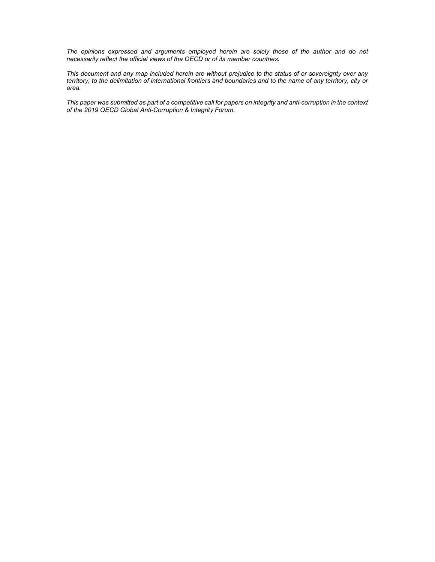The opinions expressed and arguments employed herein are solely those of the author and do not necessarily reflect the official views of the OECD or of its member countries.

This document and any map included herein are without prejudice to the status of or sovereignty over any territory, to the delimitation of international frontiers and boundaries and to the name of any territory, city or area.

This paper was submitted as part of a competitive call for papers on integrity and anti-corruption in the context of the 2019 OECD Global Anti-Corruption & Integrity Forum.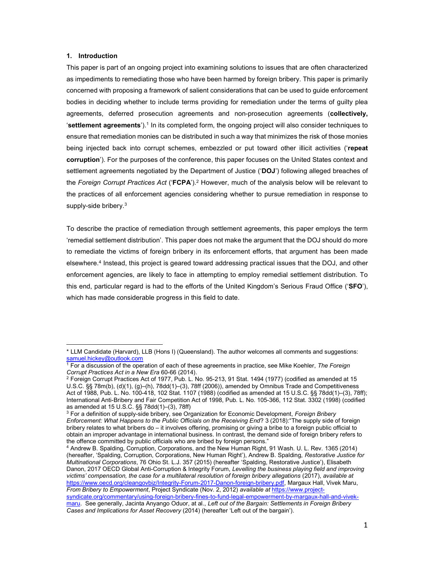## 1. Introduction

-

This paper is part of an ongoing project into examining solutions to issues that are often characterized as impediments to remediating those who have been harmed by foreign bribery. This paper is primarily concerned with proposing a framework of salient considerations that can be used to guide enforcement bodies in deciding whether to include terms providing for remediation under the terms of guilty plea agreements, deferred prosecution agreements and non-prosecution agreements (collectively, **'settlement agreements'**).<sup>1</sup> In its completed form, the ongoing project will also consider techniques to ensure that remediation monies can be distributed in such a way that minimizes the risk of those monies being injected back into corrupt schemes, embezzled or put toward other illicit activities ('repeat corruption'). For the purposes of the conference, this paper focuses on the United States context and settlement agreements negotiated by the Department of Justice ('DOJ') following alleged breaches of the Foreign Corrupt Practices Act ('FCPA').<sup>2</sup> However, much of the analysis below will be relevant to the practices of all enforcement agencies considering whether to pursue remediation in response to supply-side bribery.<sup>3</sup>

To describe the practice of remediation through settlement agreements, this paper employs the term 'remedial settlement distribution'. This paper does not make the argument that the DOJ should do more to remediate the victims of foreign bribery in its enforcement efforts, that argument has been made elsewhere.<sup>4</sup> Instead, this project is geared toward addressing practical issues that the DOJ, and other enforcement agencies, are likely to face in attempting to employ remedial settlement distribution. To this end, particular regard is had to the efforts of the United Kingdom's Serious Fraud Office ('SFO'), which has made considerable progress in this field to date.

<sup>\*</sup> LLM Candidate (Harvard), LLB (Hons I) (Queensland). The author welcomes all comments and suggestions: samuel.hickey@outlook.com

<sup>&</sup>lt;sup>1</sup> For a discussion of the operation of each of these agreements in practice, see Mike Koehler, The Foreign Corrupt Practices Act in a New Era 60-66 (2014).

<sup>2</sup> Foreign Corrupt Practices Act of 1977, Pub. L. No. 95-213, 91 Stat. 1494 (1977) (codified as amended at 15 U.S.C. §§ 78m(b), (d)(1), (g)–(h), 78dd(1)–(3), 78ff (2006)), amended by Omnibus Trade and Competitiveness Act of 1988, Pub. L. No. 100-418, 102 Stat. 1107 (1988) (codified as amended at 15 U.S.C. §§ 78dd(1)–(3), 78ff); International Anti-Bribery and Fair Competition Act of 1998, Pub. L. No. 105-366, 112 Stat. 3302 (1998) (codified as amended at 15 U.S.C. §§ 78dd(1)–(3), 78ff)

<sup>&</sup>lt;sup>3</sup> For a definition of supply-side bribery, see Organization for Economic Development, *Foreign Bribery* Enforcement: What Happens to the Public Officials on the Receiving End? 3 (2018):"The supply side of foreign bribery relates to what bribers do – it involves offering, promising or giving a bribe to a foreign public official to obtain an improper advantage in international business. In contrast, the demand side of foreign bribery refers to the offence committed by public officials who are bribed by foreign persons."

<sup>4</sup> Andrew B. Spalding, Corruption, Corporations, and the New Human Right, 91 Wash. U. L. Rev. 1365 (2014) (hereafter, 'Spalding, Corruption, Corporations, New Human Right'), Andrew B. Spalding, Restorative Justice for Multinational Corporations, 76 Ohio St. L.J. 357 (2015) (hereafter 'Spalding, Restorative Justice'), Elisabeth Danon, 2017 OECD Global Anti-Corruption & Integrity Forum, Levelling the business playing field and improving victims' compensation, the case for a multilateral resolution of foreign bribery allegations (2017), available at https://www.oecd.org/cleangovbiz/Integrity-Forum-2017-Danon-foreign-bribery.pdf, Margaux Hall, Vivek Maru, From Bribery to Empowerment, Project Syndicate (Nov. 2, 2012) available at https://www.projectsyndicate.org/commentary/using-foreign-bribery-fines-to-fund-legal-empowerment-by-margaux-hall-and-vivekmaru. See generally, Jacinta Anyango Oduor, at al., Left out of the Bargain: Settlements in Foreign Bribery Cases and Implications for Asset Recovery (2014) (hereafter 'Left out of the bargain').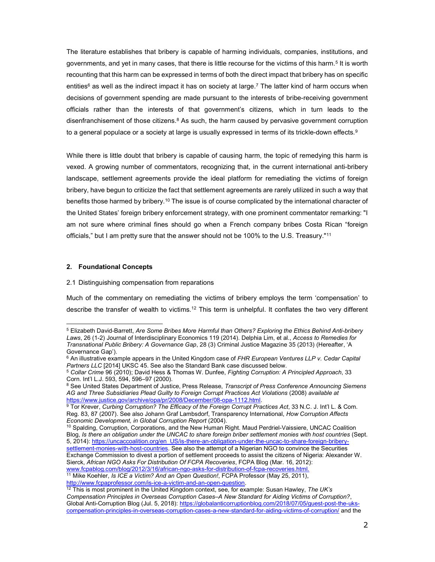The literature establishes that bribery is capable of harming individuals, companies, institutions, and governments, and yet in many cases, that there is little recourse for the victims of this harm.<sup>5</sup> It is worth recounting that this harm can be expressed in terms of both the direct impact that bribery has on specific entities<sup>6</sup> as well as the indirect impact it has on society at large.<sup>7</sup> The latter kind of harm occurs when decisions of government spending are made pursuant to the interests of bribe-receiving government officials rather than the interests of that government's citizens, which in turn leads to the disenfranchisement of those citizens.<sup>8</sup> As such, the harm caused by pervasive government corruption to a general populace or a society at large is usually expressed in terms of its trickle-down effects. $^9$ 

While there is little doubt that bribery is capable of causing harm, the topic of remedying this harm is vexed. A growing number of commentators, recognizing that, in the current international anti-bribery landscape, settlement agreements provide the ideal platform for remediating the victims of foreign bribery, have begun to criticize the fact that settlement agreements are rarely utilized in such a way that benefits those harmed by bribery.<sup>10</sup> The issue is of course complicated by the international character of the United States' foreign bribery enforcement strategy, with one prominent commentator remarking: "I am not sure where criminal fines should go when a French company bribes Costa Rican "foreign officials," but I am pretty sure that the answer should not be 100% to the U.S. Treasury."<sup>11</sup>

## 2. Foundational Concepts

-

#### 2.1 Distinguishing compensation from reparations

Much of the commentary on remediating the victims of bribery employs the term 'compensation' to describe the transfer of wealth to victims.<sup>12</sup> This term is unhelpful. It conflates the two very different

<sup>&</sup>lt;sup>5</sup> Elizabeth David-Barrett, Are Some Bribes More Harmful than Others? Exploring the Ethics Behind Anti-bribery Laws, 26 (1-2) Journal of Interdisciplinary Economics 119 (2014). Delphia Lim, et al., Access to Remedies for Transnational Public Bribery: A Governance Gap, 28 (3) Criminal Justice Magazine 35 (2013) (Hereafter, 'A Governance Gap').

<sup>&</sup>lt;sup>6</sup> An illustrative example appears in the United Kingdom case of FHR European Ventures LLP v. Cedar Capital Partners LLC [2014] UKSC 45. See also the Standard Bank case discussed below.

<sup>&</sup>lt;sup>5</sup> Collar Crime 96 (2010); David Hess & Thomas W. Dunfee, Fighting Corruption: A Principled Approach, 33 Corn. Int'l L.J. 593, 594, 596–97 (2000).

<sup>&</sup>lt;sup>8</sup> See United States Department of Justice, Press Release, Transcript of Press Conference Announcing Siemens AG and Three Subsidiaries Plead Guilty to Foreign Corrupt Practices Act Violations (2008) available at https://www.justice.gov/archive/opa/pr/2008/December/08-opa-1112.html.

<sup>&</sup>lt;sup>9</sup> Tor Krever, Curbing Corruption? The Efficacy of the Foreign Corrupt Practices Act, 33 N.C. J. Int'l L. & Com. Reg. 83, 87 (2007). See also Johann Graf Lambsdorf, Transparency International, How Corruption Affects Economic Development, in Global Corruption Report (2004).

<sup>&</sup>lt;sup>10</sup> Spalding, Corruption, Corporations, and the New Human Right. Maud Perdriel-Vaissiere, UNCAC Coalition Blog, Is there an obligation under the UNCAC to share foreign briber settlement monies with host countries (Sept. 5, 2014): https://uncaccoalition.org/en\_US/is-there-an-obligation-under-the-uncac-to-share-foreign-briberysettlement-monies-with-host-countries. See also the attempt of a Nigerian NGO to convince the Securities Exchange Commission to divest a portion of settlement proceeds to assist the citizens of Nigeria: Alexander W. Sierck, African NGO Asks For Distribution Of FCPA Recoveries, FCPA Blog (Mar. 16, 2012): www.fcpablog.com/blog/2012/3/16/african-ngo-asks-for-distribution-of-fcpa-recoveries.html.

<sup>&</sup>lt;sup>11</sup> Mike Koehler, *Is ICE a Victim? And an Open Question!*, FCPA Professor (May 25, 2011), http://www.fcpaprofessor.com/is-ice-a-victim-and-an-open-question.

 $12$  This is most prominent in the United Kingdom context, see, for example: Susan Hawley, The UK's Compensation Principles in Overseas Corruption Cases–A New Standard for Aiding Victims of Corruption?, Global Anti-Corruption Blog (Jul. 5, 2018): https://globalanticorruptionblog.com/2018/07/05/guest-post-the-ukscompensation-principles-in-overseas-corruption-cases-a-new-standard-for-aiding-victims-of-corruption/ and the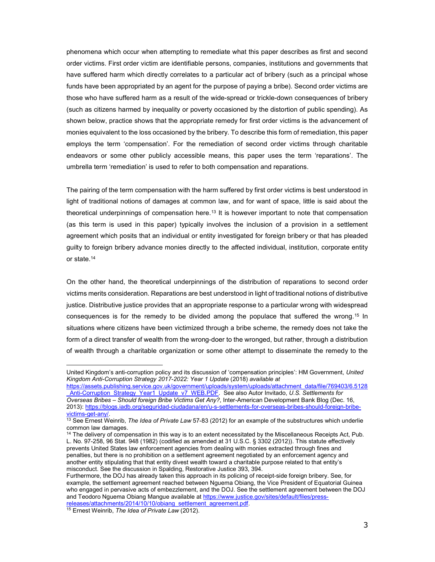phenomena which occur when attempting to remediate what this paper describes as first and second order victims. First order victim are identifiable persons, companies, institutions and governments that have suffered harm which directly correlates to a particular act of bribery (such as a principal whose funds have been appropriated by an agent for the purpose of paying a bribe). Second order victims are those who have suffered harm as a result of the wide-spread or trickle-down consequences of bribery (such as citizens harmed by inequality or poverty occasioned by the distortion of public spending). As shown below, practice shows that the appropriate remedy for first order victims is the advancement of monies equivalent to the loss occasioned by the bribery. To describe this form of remediation, this paper employs the term 'compensation'. For the remediation of second order victims through charitable endeavors or some other publicly accessible means, this paper uses the term 'reparations'. The umbrella term 'remediation' is used to refer to both compensation and reparations.

The pairing of the term compensation with the harm suffered by first order victims is best understood in light of traditional notions of damages at common law, and for want of space, little is said about the theoretical underpinnings of compensation here.<sup>13</sup> It is however important to note that compensation (as this term is used in this paper) typically involves the inclusion of a provision in a settlement agreement which posits that an individual or entity investigated for foreign bribery or that has pleaded guilty to foreign bribery advance monies directly to the affected individual, institution, corporate entity or state.<sup>14</sup>

On the other hand, the theoretical underpinnings of the distribution of reparations to second order victims merits consideration. Reparations are best understood in light of traditional notions of distributive justice. Distributive justice provides that an appropriate response to a particular wrong with widespread consequences is for the remedy to be divided among the populace that suffered the wrong.<sup>15</sup> In situations where citizens have been victimized through a bribe scheme, the remedy does not take the form of a direct transfer of wealth from the wrong-doer to the wronged, but rather, through a distribution of wealth through a charitable organization or some other attempt to disseminate the remedy to the

releases/attachments/2014/10/10/obiang\_settlement\_agreement.pdf

United Kingdom's anti-corruption policy and its discussion of 'compensation principles': HM Government, United Kingdom Anti-Corruption Strategy 2017-2022: Year 1 Update (2018) available at

https://assets.publishing.service.gov.uk/government/uploads/system/uploads/attachment\_data/file/769403/6.5128 Anti-Corruption\_Strategy\_Year1\_Update\_v7\_WEB.PDF. See also Autor Invitado, U.S. Settlements for Overseas Bribes – Should foreign Bribe Victims Get Any?, Inter-American Development Bank Blog (Dec. 16, 2013): https://blogs.iadb.org/seguridad-ciudadana/en/u-s-settlements-for-overseas-bribes-should-foreign-bribevictims-get-any/.

 $13$  See Ernest Weinrib, The Idea of Private Law 57-83 (2012) for an example of the substructures which underlie common law damages.

<sup>&</sup>lt;sup>14</sup> The delivery of compensation in this way is to an extent necessitated by the Miscellaneous Receipts Act, Pub. L. No. 97-258, 96 Stat. 948 (1982) (codified as amended at 31 U.S.C. § 3302 (2012)). This statute effectively prevents United States law enforcement agencies from dealing with monies extracted through fines and penalties, but there is no prohibition on a settlement agreement negotiated by an enforcement agency and another entity stipulating that that entity divest wealth toward a charitable purpose related to that entity's misconduct. See the discussion in Spalding, Restorative Justice 393, 394.

Furthermore, the DOJ has already taken this approach in its policing of receipt-side foreign bribery. See, for example, the settlement agreement reached between Nguema Obiang, the Vice President of Equatorial Guinea who engaged in pervasive acts of embezzlement, and the DOJ. See the settlement agreement between the DOJ and Teodoro Nguema Obiang Mangue available at https://www.justice.gov/sites/default/files/press-

<sup>&</sup>lt;sup>15</sup> Ernest Weinrib, The Idea of Private Law (2012).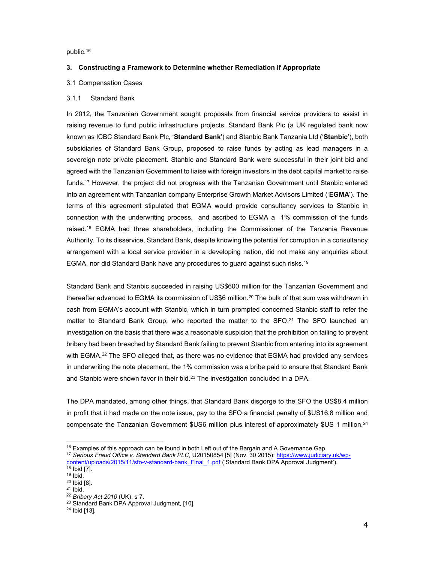public.<sup>16</sup>

# 3. Constructing a Framework to Determine whether Remediation if Appropriate

# 3.1 Compensation Cases

# 3.1.1 Standard Bank

In 2012, the Tanzanian Government sought proposals from financial service providers to assist in raising revenue to fund public infrastructure projects. Standard Bank Plc (a UK regulated bank now known as ICBC Standard Bank Plc, 'Standard Bank') and Stanbic Bank Tanzania Ltd ('Stanbic'), both subsidiaries of Standard Bank Group, proposed to raise funds by acting as lead managers in a sovereign note private placement. Stanbic and Standard Bank were successful in their joint bid and agreed with the Tanzanian Government to liaise with foreign investors in the debt capital market to raise funds.<sup>17</sup> However, the project did not progress with the Tanzanian Government until Stanbic entered into an agreement with Tanzanian company Enterprise Growth Market Advisors Limited ('EGMA'). The terms of this agreement stipulated that EGMA would provide consultancy services to Stanbic in connection with the underwriting process, and ascribed to EGMA a 1% commission of the funds raised.<sup>18</sup> EGMA had three shareholders, including the Commissioner of the Tanzania Revenue Authority. To its disservice, Standard Bank, despite knowing the potential for corruption in a consultancy arrangement with a local service provider in a developing nation, did not make any enquiries about EGMA, nor did Standard Bank have any procedures to guard against such risks.<sup>19</sup>

Standard Bank and Stanbic succeeded in raising US\$600 million for the Tanzanian Government and thereafter advanced to EGMA its commission of US\$6 million.<sup>20</sup> The bulk of that sum was withdrawn in cash from EGMA's account with Stanbic, which in turn prompted concerned Stanbic staff to refer the matter to Standard Bank Group, who reported the matter to the  $SFO.21$  The SFO launched an investigation on the basis that there was a reasonable suspicion that the prohibition on failing to prevent bribery had been breached by Standard Bank failing to prevent Stanbic from entering into its agreement with EGMA.<sup>22</sup> The SFO alleged that, as there was no evidence that EGMA had provided any services in underwriting the note placement, the 1% commission was a bribe paid to ensure that Standard Bank and Stanbic were shown favor in their bid.<sup>23</sup> The investigation concluded in a DPA.

The DPA mandated, among other things, that Standard Bank disgorge to the SFO the US\$8.4 million in profit that it had made on the note issue, pay to the SFO a financial penalty of \$US16.8 million and compensate the Tanzanian Government \$US6 million plus interest of approximately \$US 1 million.<sup>24</sup>

<sup>-</sup> $16$  Examples of this approach can be found in both Left out of the Bargain and A Governance Gap.

<sup>&</sup>lt;sup>17</sup> Serious Fraud Office v. Standard Bank PLC, U20150854 [5] (Nov. 30 2015): https://www.judiciary.uk/wpcontent/uploads/2015/11/sfo-v-standard-bank\_Final\_1.pdf ('Standard Bank DPA Approval Judgment'). <sup>18</sup> Ibid [7].

<sup>19</sup> Ibid.

<sup>20</sup> Ibid [8].

 $21$  Ibid.

<sup>22</sup> Bribery Act 2010 (UK), s 7.

<sup>23</sup> Standard Bank DPA Approval Judgment, [10].

<sup>24</sup> Ibid [13].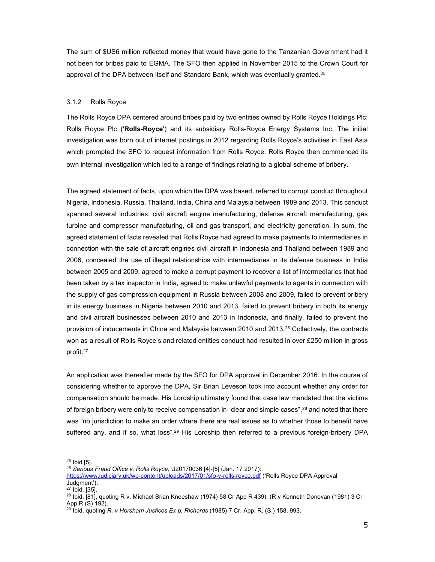The sum of \$US6 million reflected money that would have gone to the Tanzanian Government had it not been for bribes paid to EGMA. The SFO then applied in November 2015 to the Crown Court for approval of the DPA between itself and Standard Bank, which was eventually granted.<sup>25</sup>

# 3.1.2 Rolls Royce

The Rolls Royce DPA centered around bribes paid by two entities owned by Rolls Royce Holdings Plc: Rolls Royce Plc ('Rolls-Royce') and its subsidiary Rolls-Royce Energy Systems Inc. The initial investigation was born out of internet postings in 2012 regarding Rolls Royce's activities in East Asia which prompted the SFO to request information from Rolls Royce. Rolls Royce then commenced its own internal investigation which led to a range of findings relating to a global scheme of bribery.

The agreed statement of facts, upon which the DPA was based, referred to corrupt conduct throughout Nigeria, Indonesia, Russia, Thailand, India, China and Malaysia between 1989 and 2013. This conduct spanned several industries: civil aircraft engine manufacturing, defense aircraft manufacturing, gas turbine and compressor manufacturing, oil and gas transport, and electricity generation. In sum, the agreed statement of facts revealed that Rolls Royce had agreed to make payments to intermediaries in connection with the sale of aircraft engines civil aircraft in Indonesia and Thailand between 1989 and 2006, concealed the use of illegal relationships with intermediaries in its defense business in India between 2005 and 2009, agreed to make a corrupt payment to recover a list of intermediaries that had been taken by a tax inspector in India, agreed to make unlawful payments to agents in connection with the supply of gas compression equipment in Russia between 2008 and 2009, failed to prevent bribery in its energy business in Nigeria between 2010 and 2013, failed to prevent bribery in both its energy and civil aircraft businesses between 2010 and 2013 in Indonesia, and finally, failed to prevent the provision of inducements in China and Malaysia between 2010 and 2013.<sup>26</sup> Collectively, the contracts won as a result of Rolls Royce's and related entities conduct had resulted in over £250 million in gross profit.<sup>27</sup>

An application was thereafter made by the SFO for DPA approval in December 2016. In the course of considering whether to approve the DPA, Sir Brian Leveson took into account whether any order for compensation should be made. His Lordship ultimately found that case law mandated that the victims of foreign bribery were only to receive compensation in "clear and simple cases",<sup>28</sup> and noted that there was "no jurisdiction to make an order where there are real issues as to whether those to benefit have suffered any, and if so, what loss".<sup>29</sup> His Lordship then referred to a previous foreign-bribery DPA

-

 $26$  Serious Fraud Office v. Rolls Royce, U20170036 [4]-[5] (Jan. 17 2017):

<sup>&</sup>lt;sup>25</sup> Ibid [5].

https://www.judiciary.uk/wp-content/uploads/2017/01/sfo-v-rolls-royce.pdf ('Rolls Royce DPA Approval Judgment').

 $27$  Ibid, [35].

<sup>&</sup>lt;sup>28</sup> Ibid, <sup>[81]</sup>, quoting R v. Michael Brian Kneeshaw (1974) 58 Cr App R 439), (R v Kenneth Donovan (1981) 3 Cr App R (S) 192).

 $^{29}$  Ibid, quoting R. v Horsham Justices Ex p. Richards (1985) 7 Cr. App. R. (S.) 158, 993.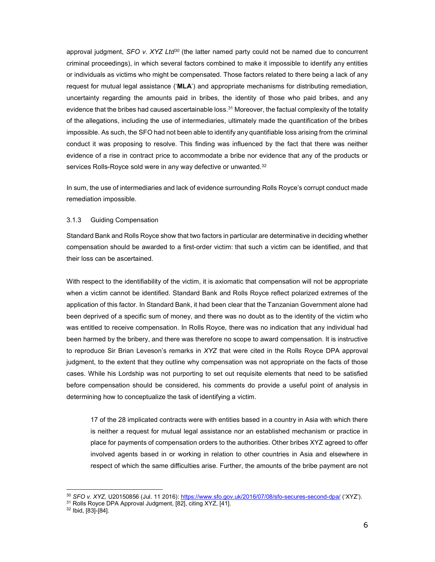approval judgment,  $SFO$  v.  $XYZ Ltd^{30}$  (the latter named party could not be named due to concurrent criminal proceedings), in which several factors combined to make it impossible to identify any entities or individuals as victims who might be compensated. Those factors related to there being a lack of any request for mutual legal assistance ('MLA') and appropriate mechanisms for distributing remediation, uncertainty regarding the amounts paid in bribes, the identity of those who paid bribes, and any evidence that the bribes had caused ascertainable loss.<sup>31</sup> Moreover, the factual complexity of the totality of the allegations, including the use of intermediaries, ultimately made the quantification of the bribes impossible. As such, the SFO had not been able to identify any quantifiable loss arising from the criminal conduct it was proposing to resolve. This finding was influenced by the fact that there was neither evidence of a rise in contract price to accommodate a bribe nor evidence that any of the products or services Rolls-Royce sold were in any way defective or unwanted.<sup>32</sup>

In sum, the use of intermediaries and lack of evidence surrounding Rolls Royce's corrupt conduct made remediation impossible.

## 3.1.3 Guiding Compensation

Standard Bank and Rolls Royce show that two factors in particular are determinative in deciding whether compensation should be awarded to a first-order victim: that such a victim can be identified, and that their loss can be ascertained.

With respect to the identifiability of the victim, it is axiomatic that compensation will not be appropriate when a victim cannot be identified. Standard Bank and Rolls Royce reflect polarized extremes of the application of this factor. In Standard Bank, it had been clear that the Tanzanian Government alone had been deprived of a specific sum of money, and there was no doubt as to the identity of the victim who was entitled to receive compensation. In Rolls Royce, there was no indication that any individual had been harmed by the bribery, and there was therefore no scope to award compensation. It is instructive to reproduce Sir Brian Leveson's remarks in XYZ that were cited in the Rolls Royce DPA approval judgment, to the extent that they outline why compensation was not appropriate on the facts of those cases. While his Lordship was not purporting to set out requisite elements that need to be satisfied before compensation should be considered, his comments do provide a useful point of analysis in determining how to conceptualize the task of identifying a victim.

17 of the 28 implicated contracts were with entities based in a country in Asia with which there is neither a request for mutual legal assistance nor an established mechanism or practice in place for payments of compensation orders to the authorities. Other bribes XYZ agreed to offer involved agents based in or working in relation to other countries in Asia and elsewhere in respect of which the same difficulties arise. Further, the amounts of the bribe payment are not

<sup>30</sup> SFO v. XYZ, U20150856 (Jul. 11 2016): https://www.sfo.gov.uk/2016/07/08/sfo-secures-second-dpa/ ('XYZ').

<sup>31</sup> Rolls Royce DPA Approval Judgment, [82], citing XYZ, [41].

<sup>32</sup> Ibid, [83]-[84].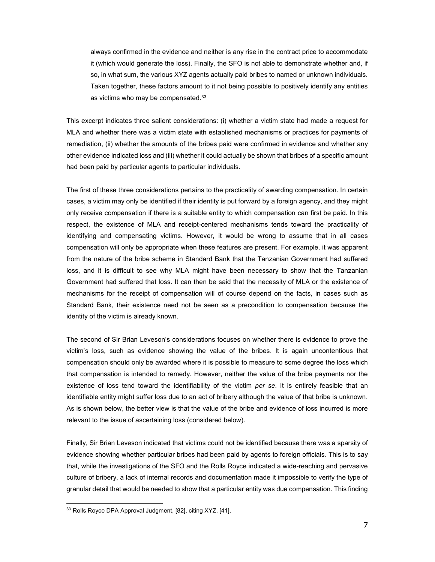always confirmed in the evidence and neither is any rise in the contract price to accommodate it (which would generate the loss). Finally, the SFO is not able to demonstrate whether and, if so, in what sum, the various XYZ agents actually paid bribes to named or unknown individuals. Taken together, these factors amount to it not being possible to positively identify any entities as victims who may be compensated.<sup>33</sup>

This excerpt indicates three salient considerations: (i) whether a victim state had made a request for MLA and whether there was a victim state with established mechanisms or practices for payments of remediation, (ii) whether the amounts of the bribes paid were confirmed in evidence and whether any other evidence indicated loss and (iii) whether it could actually be shown that bribes of a specific amount had been paid by particular agents to particular individuals.

The first of these three considerations pertains to the practicality of awarding compensation. In certain cases, a victim may only be identified if their identity is put forward by a foreign agency, and they might only receive compensation if there is a suitable entity to which compensation can first be paid. In this respect, the existence of MLA and receipt-centered mechanisms tends toward the practicality of identifying and compensating victims. However, it would be wrong to assume that in all cases compensation will only be appropriate when these features are present. For example, it was apparent from the nature of the bribe scheme in Standard Bank that the Tanzanian Government had suffered loss, and it is difficult to see why MLA might have been necessary to show that the Tanzanian Government had suffered that loss. It can then be said that the necessity of MLA or the existence of mechanisms for the receipt of compensation will of course depend on the facts, in cases such as Standard Bank, their existence need not be seen as a precondition to compensation because the identity of the victim is already known.

The second of Sir Brian Leveson's considerations focuses on whether there is evidence to prove the victim's loss, such as evidence showing the value of the bribes. It is again uncontentious that compensation should only be awarded where it is possible to measure to some degree the loss which that compensation is intended to remedy. However, neither the value of the bribe payments nor the existence of loss tend toward the identifiability of the victim *per se*. It is entirely feasible that an identifiable entity might suffer loss due to an act of bribery although the value of that bribe is unknown. As is shown below, the better view is that the value of the bribe and evidence of loss incurred is more relevant to the issue of ascertaining loss (considered below).

Finally, Sir Brian Leveson indicated that victims could not be identified because there was a sparsity of evidence showing whether particular bribes had been paid by agents to foreign officials. This is to say that, while the investigations of the SFO and the Rolls Royce indicated a wide-reaching and pervasive culture of bribery, a lack of internal records and documentation made it impossible to verify the type of granular detail that would be needed to show that a particular entity was due compensation. This finding

<sup>33</sup> Rolls Royce DPA Approval Judgment, [82], citing XYZ, [41].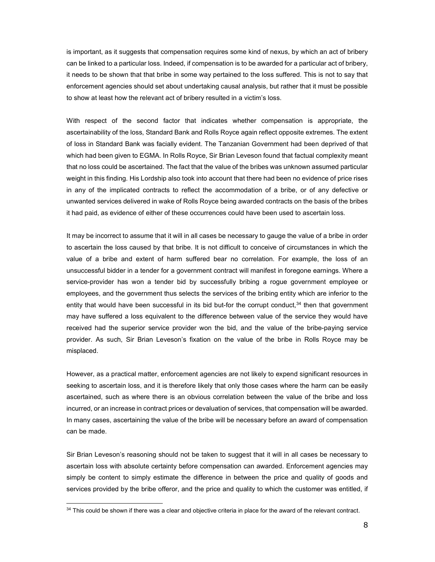is important, as it suggests that compensation requires some kind of nexus, by which an act of bribery can be linked to a particular loss. Indeed, if compensation is to be awarded for a particular act of bribery, it needs to be shown that that bribe in some way pertained to the loss suffered. This is not to say that enforcement agencies should set about undertaking causal analysis, but rather that it must be possible to show at least how the relevant act of bribery resulted in a victim's loss.

With respect of the second factor that indicates whether compensation is appropriate, the ascertainability of the loss, Standard Bank and Rolls Royce again reflect opposite extremes. The extent of loss in Standard Bank was facially evident. The Tanzanian Government had been deprived of that which had been given to EGMA. In Rolls Royce, Sir Brian Leveson found that factual complexity meant that no loss could be ascertained. The fact that the value of the bribes was unknown assumed particular weight in this finding. His Lordship also took into account that there had been no evidence of price rises in any of the implicated contracts to reflect the accommodation of a bribe, or of any defective or unwanted services delivered in wake of Rolls Royce being awarded contracts on the basis of the bribes it had paid, as evidence of either of these occurrences could have been used to ascertain loss.

It may be incorrect to assume that it will in all cases be necessary to gauge the value of a bribe in order to ascertain the loss caused by that bribe. It is not difficult to conceive of circumstances in which the value of a bribe and extent of harm suffered bear no correlation. For example, the loss of an unsuccessful bidder in a tender for a government contract will manifest in foregone earnings. Where a service-provider has won a tender bid by successfully bribing a rogue government employee or employees, and the government thus selects the services of the bribing entity which are inferior to the entity that would have been successful in its bid but-for the corrupt conduct, $34$  then that government may have suffered a loss equivalent to the difference between value of the service they would have received had the superior service provider won the bid, and the value of the bribe-paying service provider. As such, Sir Brian Leveson's fixation on the value of the bribe in Rolls Royce may be misplaced.

However, as a practical matter, enforcement agencies are not likely to expend significant resources in seeking to ascertain loss, and it is therefore likely that only those cases where the harm can be easily ascertained, such as where there is an obvious correlation between the value of the bribe and loss incurred, or an increase in contract prices or devaluation of services, that compensation will be awarded. In many cases, ascertaining the value of the bribe will be necessary before an award of compensation can be made.

Sir Brian Leveson's reasoning should not be taken to suggest that it will in all cases be necessary to ascertain loss with absolute certainty before compensation can awarded. Enforcement agencies may simply be content to simply estimate the difference in between the price and quality of goods and services provided by the bribe offeror, and the price and quality to which the customer was entitled, if

<sup>34</sup> This could be shown if there was a clear and objective criteria in place for the award of the relevant contract.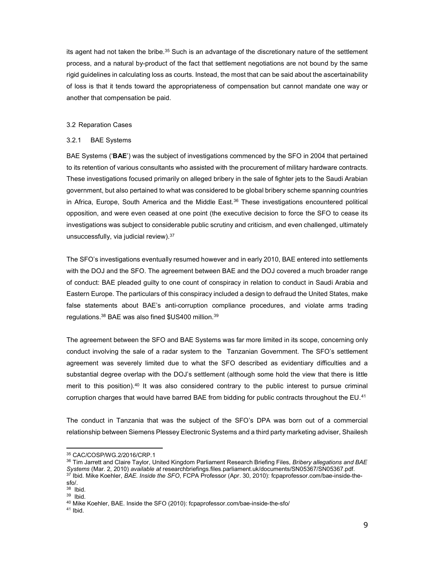its agent had not taken the bribe.<sup>35</sup> Such is an advantage of the discretionary nature of the settlement process, and a natural by-product of the fact that settlement negotiations are not bound by the same rigid guidelines in calculating loss as courts. Instead, the most that can be said about the ascertainability of loss is that it tends toward the appropriateness of compensation but cannot mandate one way or another that compensation be paid.

## 3.2 Reparation Cases

## 3.2.1 BAE Systems

BAE Systems ('BAE') was the subject of investigations commenced by the SFO in 2004 that pertained to its retention of various consultants who assisted with the procurement of military hardware contracts. These investigations focused primarily on alleged bribery in the sale of fighter jets to the Saudi Arabian government, but also pertained to what was considered to be global bribery scheme spanning countries in Africa, Europe, South America and the Middle East.<sup>36</sup> These investigations encountered political opposition, and were even ceased at one point (the executive decision to force the SFO to cease its investigations was subject to considerable public scrutiny and criticism, and even challenged, ultimately unsuccessfully, via judicial review).<sup>37</sup>

The SFO's investigations eventually resumed however and in early 2010, BAE entered into settlements with the DOJ and the SFO. The agreement between BAE and the DOJ covered a much broader range of conduct: BAE pleaded guilty to one count of conspiracy in relation to conduct in Saudi Arabia and Eastern Europe. The particulars of this conspiracy included a design to defraud the United States, make false statements about BAE's anti-corruption compliance procedures, and violate arms trading regulations.<sup>38</sup> BAE was also fined \$US400 million.<sup>39</sup>

The agreement between the SFO and BAE Systems was far more limited in its scope, concerning only conduct involving the sale of a radar system to the Tanzanian Government. The SFO's settlement agreement was severely limited due to what the SFO described as evidentiary difficulties and a substantial degree overlap with the DOJ's settlement (although some hold the view that there is little merit to this position).<sup>40</sup> It was also considered contrary to the public interest to pursue criminal corruption charges that would have barred BAE from bidding for public contracts throughout the EU.<sup>41</sup>

The conduct in Tanzania that was the subject of the SFO's DPA was born out of a commercial relationship between Siemens Plessey Electronic Systems and a third party marketing adviser, Shailesh

<sup>35</sup> CAC/COSP/WG.2/2016/CRP.1

<sup>&</sup>lt;sup>36</sup> Tim Jarrett and Claire Taylor, United Kingdom Parliament Research Briefing Files, Bribery allegations and BAE Systems (Mar. 2, 2010) available at researchbriefings.files.parliament.uk/documents/SN05367/SN05367.pdf.  $^{37}$  Ibid. Mike Koehler, *BAE. Inside the SFO*, FCPA Professor (Apr. 30, 2010): fcpaprofessor.com/bae-inside-thesfo/.

<sup>38</sup> Ibid.

<sup>39</sup> Ibid.

<sup>40</sup> Mike Koehler, BAE. Inside the SFO (2010): fcpaprofessor.com/bae-inside-the-sfo/

 $41$  Ibid.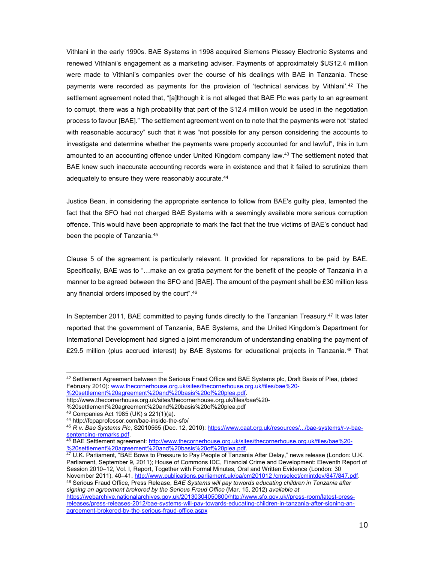Vithlani in the early 1990s. BAE Systems in 1998 acquired Siemens Plessey Electronic Systems and renewed Vithlani's engagement as a marketing adviser. Payments of approximately \$US12.4 million were made to Vithlani's companies over the course of his dealings with BAE in Tanzania. These payments were recorded as payments for the provision of 'technical services by Vithlani'.<sup>42</sup> The settlement agreement noted that, "[a]lthough it is not alleged that BAE Plc was party to an agreement to corrupt, there was a high probability that part of the \$12.4 million would be used in the negotiation process to favour [BAE]." The settlement agreement went on to note that the payments were not "stated with reasonable accuracy" such that it was "not possible for any person considering the accounts to investigate and determine whether the payments were properly accounted for and lawful", this in turn amounted to an accounting offence under United Kingdom company law.<sup>43</sup> The settlement noted that BAE knew such inaccurate accounting records were in existence and that it failed to scrutinize them adequately to ensure they were reasonably accurate.<sup>44</sup>

Justice Bean, in considering the appropriate sentence to follow from BAE's guilty plea, lamented the fact that the SFO had not charged BAE Systems with a seemingly available more serious corruption offence. This would have been appropriate to mark the fact that the true victims of BAE's conduct had been the people of Tanzania.<sup>45</sup>

Clause 5 of the agreement is particularly relevant. It provided for reparations to be paid by BAE. Specifically, BAE was to "…make an ex gratia payment for the benefit of the people of Tanzania in a manner to be agreed between the SFO and [BAE]. The amount of the payment shall be £30 million less any financial orders imposed by the court".<sup>46</sup>

In September 2011, BAE committed to paying funds directly to the Tanzanian Treasury.<sup>47</sup> It was later reported that the government of Tanzania, BAE Systems, and the United Kingdom's Department for International Development had signed a joint memorandum of understanding enabling the payment of ₤29.5 million (plus accrued interest) by BAE Systems for educational projects in Tanzania.<sup>48</sup> That

-

<sup>47</sup> U.K. Parliament, "BAE Bows to Pressure to Pay People of Tanzania After Delay," news release (London: U.K. Parliament, September 9, 2011); House of Commons IDC, Financial Crime and Development: Eleventh Report of Session 2010–12, Vol. I, Report, Together with Formal Minutes, Oral and Written Evidence (London: 30 November 2011), 40–41, http://www.publications.parliament.uk/pa/cm201012 /cmselect/cmintdev/847/847.pdf. 48 Serious Fraud Office, Press Release, BAE Systems will pay towards educating children in Tanzania after signing an agreement brokered by the Serious Fraud Office (Mar. 15, 2012) available at

https://webarchive.nationalarchives.gov.uk/20130304050800/http://www.sfo.gov.uk//press-room/latest-pressreleases/press-releases-2012/bae-systems-will-pay-towards-educating-children-in-tanzania-after-signing-anagreement-brokered-by-the-serious-fraud-office.aspx

<sup>42</sup> Settlement Agreement between the Serioius Fraud Office and BAE Systems plc, Draft Basis of Plea, (dated February 2010): www.thecornerhouse.org.uk/sites/thecornerhouse.org.uk/files/bae%20- %20settlement%20agreement%20and%20basis%20of%20plea.pdf.

http://www.thecornerhouse.org.uk/sites/thecornerhouse.org.uk/files/bae%20-

<sup>%20</sup>settlement%20agreement%20and%20basis%20of%20plea.pdf

<sup>43</sup> Companies Act 1985 (UK) s 221(1)(a).

<sup>44</sup> http://fcpaprofessor.com/bae-inside-the-sfo/

<sup>45</sup> R v. Bae Systems Plc, S2010565 (Dec. 12, 2010): https://www.caat.org.uk/resources/.../bae-systems/r-v-baesentencing-remarks.pdf.

<sup>46</sup> BAE Settlement agreement: http://www.thecornerhouse.org.uk/sites/thecornerhouse.org.uk/files/bae%20-%20settlement%20agreement%20and%20basis%20of%20plea.pdf.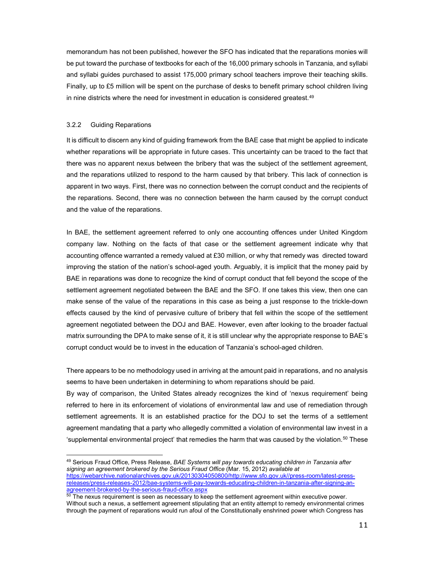memorandum has not been published, however the SFO has indicated that the reparations monies will be put toward the purchase of textbooks for each of the 16,000 primary schools in Tanzania, and syllabi and syllabi guides purchased to assist 175,000 primary school teachers improve their teaching skills. Finally, up to £5 million will be spent on the purchase of desks to benefit primary school children living in nine districts where the need for investment in education is considered greatest.<sup>49</sup>

# 3.2.2 Guiding Reparations

-

It is difficult to discern any kind of guiding framework from the BAE case that might be applied to indicate whether reparations will be appropriate in future cases. This uncertainty can be traced to the fact that there was no apparent nexus between the bribery that was the subject of the settlement agreement, and the reparations utilized to respond to the harm caused by that bribery. This lack of connection is apparent in two ways. First, there was no connection between the corrupt conduct and the recipients of the reparations. Second, there was no connection between the harm caused by the corrupt conduct and the value of the reparations.

In BAE, the settlement agreement referred to only one accounting offences under United Kingdom company law. Nothing on the facts of that case or the settlement agreement indicate why that accounting offence warranted a remedy valued at £30 million, or why that remedy was directed toward improving the station of the nation's school-aged youth. Arguably, it is implicit that the money paid by BAE in reparations was done to recognize the kind of corrupt conduct that fell beyond the scope of the settlement agreement negotiated between the BAE and the SFO. If one takes this view, then one can make sense of the value of the reparations in this case as being a just response to the trickle-down effects caused by the kind of pervasive culture of bribery that fell within the scope of the settlement agreement negotiated between the DOJ and BAE. However, even after looking to the broader factual matrix surrounding the DPA to make sense of it, it is still unclear why the appropriate response to BAE's corrupt conduct would be to invest in the education of Tanzania's school-aged children.

There appears to be no methodology used in arriving at the amount paid in reparations, and no analysis seems to have been undertaken in determining to whom reparations should be paid.

By way of comparison, the United States already recognizes the kind of 'nexus requirement' being referred to here in its enforcement of violations of environmental law and use of remediation through settlement agreements. It is an established practice for the DOJ to set the terms of a settlement agreement mandating that a party who allegedly committed a violation of environmental law invest in a 'supplemental environmental project' that remedies the harm that was caused by the violation.<sup>50</sup> These

<sup>&</sup>lt;sup>49</sup> Serious Fraud Office, Press Release, *BAE Systems will pay towards educating children in Tanzania after* signing an agreement brokered by the Serious Fraud Office (Mar. 15, 2012) available at https://webarchive.nationalarchives.gov.uk/20130304050800/http://www.sfo.gov.uk//press-room/latest-pressreleases/press-releases-2012/bae-systems-will-pay-towards-educating-children-in-tanzania-after-signing-anagreement-brokered-by-the-serious-fraud-office.aspx

 $^{50}$  The nexus requirement is seen as necessary to keep the settlement agreement within executive power. Without such a nexus, a settlement agreement stipulating that an entity attempt to remedy environmental crimes through the payment of reparations would run afoul of the Constitutionally enshrined power which Congress has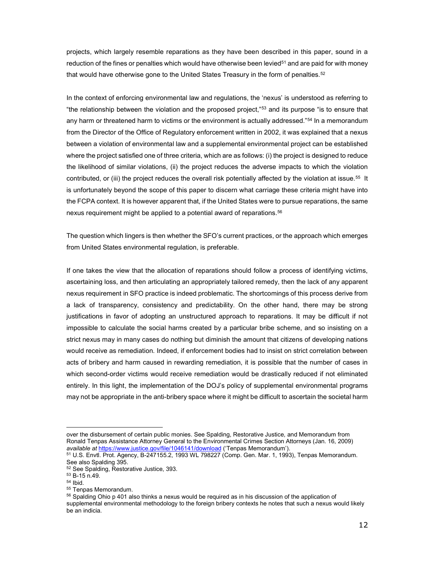projects, which largely resemble reparations as they have been described in this paper, sound in a reduction of the fines or penalties which would have otherwise been levied<sup>51</sup> and are paid for with money that would have otherwise gone to the United States Treasury in the form of penalties. $^{52}$ 

In the context of enforcing environmental law and regulations, the 'nexus' is understood as referring to "the relationship between the violation and the proposed project,"<sup>53</sup> and its purpose "is to ensure that any harm or threatened harm to victims or the environment is actually addressed."<sup>54</sup> In a memorandum from the Director of the Office of Regulatory enforcement written in 2002, it was explained that a nexus between a violation of environmental law and a supplemental environmental project can be established where the project satisfied one of three criteria, which are as follows: (i) the project is designed to reduce the likelihood of similar violations, (ii) the project reduces the adverse impacts to which the violation contributed, or (iii) the project reduces the overall risk potentially affected by the violation at issue.<sup>55</sup> It is unfortunately beyond the scope of this paper to discern what carriage these criteria might have into the FCPA context. It is however apparent that, if the United States were to pursue reparations, the same nexus requirement might be applied to a potential award of reparations.<sup>56</sup>

The question which lingers is then whether the SFO's current practices, or the approach which emerges from United States environmental regulation, is preferable.

If one takes the view that the allocation of reparations should follow a process of identifying victims, ascertaining loss, and then articulating an appropriately tailored remedy, then the lack of any apparent nexus requirement in SFO practice is indeed problematic. The shortcomings of this process derive from a lack of transparency, consistency and predictability. On the other hand, there may be strong justifications in favor of adopting an unstructured approach to reparations. It may be difficult if not impossible to calculate the social harms created by a particular bribe scheme, and so insisting on a strict nexus may in many cases do nothing but diminish the amount that citizens of developing nations would receive as remediation. Indeed, if enforcement bodies had to insist on strict correlation between acts of bribery and harm caused in rewarding remediation, it is possible that the number of cases in which second-order victims would receive remediation would be drastically reduced if not eliminated entirely. In this light, the implementation of the DOJ's policy of supplemental environmental programs may not be appropriate in the anti-bribery space where it might be difficult to ascertain the societal harm

over the disbursement of certain public monies. See Spalding, Restorative Justice, and Memorandum from Ronald Tenpas Assistance Attorney General to the Environmental Crimes Section Attorneys (Jan. 16, 2009) available at https://www.justice.gov/file/1046141/download ('Tenpas Memorandum').

<sup>51</sup> U.S. Envtl. Prot. Agency, B-247155.2, 1993 WL 798227 (Comp. Gen. Mar. 1, 1993), Tenpas Memorandum. See also Spalding 395.

<sup>52</sup> See Spalding, Restorative Justice, 393.

<sup>53</sup> B-15 n.49.

<sup>54</sup> Ibid.

<sup>55</sup> Tenpas Memorandum.

<sup>&</sup>lt;sup>56</sup> Spalding Ohio p 401 also thinks a nexus would be required as in his discussion of the application of supplemental environmental methodology to the foreign bribery contexts he notes that such a nexus would likely be an indicia.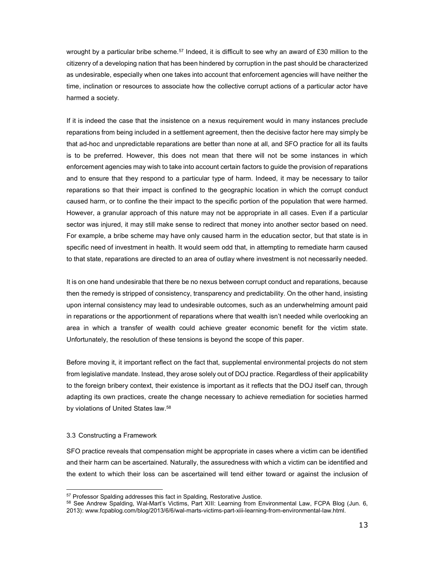wrought by a particular bribe scheme.<sup>57</sup> Indeed, it is difficult to see why an award of £30 million to the citizenry of a developing nation that has been hindered by corruption in the past should be characterized as undesirable, especially when one takes into account that enforcement agencies will have neither the time, inclination or resources to associate how the collective corrupt actions of a particular actor have harmed a society.

If it is indeed the case that the insistence on a nexus requirement would in many instances preclude reparations from being included in a settlement agreement, then the decisive factor here may simply be that ad-hoc and unpredictable reparations are better than none at all, and SFO practice for all its faults is to be preferred. However, this does not mean that there will not be some instances in which enforcement agencies may wish to take into account certain factors to guide the provision of reparations and to ensure that they respond to a particular type of harm. Indeed, it may be necessary to tailor reparations so that their impact is confined to the geographic location in which the corrupt conduct caused harm, or to confine the their impact to the specific portion of the population that were harmed. However, a granular approach of this nature may not be appropriate in all cases. Even if a particular sector was injured, it may still make sense to redirect that money into another sector based on need. For example, a bribe scheme may have only caused harm in the education sector, but that state is in specific need of investment in health. It would seem odd that, in attempting to remediate harm caused to that state, reparations are directed to an area of outlay where investment is not necessarily needed.

It is on one hand undesirable that there be no nexus between corrupt conduct and reparations, because then the remedy is stripped of consistency, transparency and predictability. On the other hand, insisting upon internal consistency may lead to undesirable outcomes, such as an underwhelming amount paid in reparations or the apportionment of reparations where that wealth isn't needed while overlooking an area in which a transfer of wealth could achieve greater economic benefit for the victim state. Unfortunately, the resolution of these tensions is beyond the scope of this paper.

Before moving it, it important reflect on the fact that, supplemental environmental projects do not stem from legislative mandate. Instead, they arose solely out of DOJ practice. Regardless of their applicability to the foreign bribery context, their existence is important as it reflects that the DOJ itself can, through adapting its own practices, create the change necessary to achieve remediation for societies harmed by violations of United States law.<sup>58</sup>

### 3.3 Constructing a Framework

-

SFO practice reveals that compensation might be appropriate in cases where a victim can be identified and their harm can be ascertained. Naturally, the assuredness with which a victim can be identified and the extent to which their loss can be ascertained will tend either toward or against the inclusion of

<sup>&</sup>lt;sup>57</sup> Professor Spalding addresses this fact in Spalding, Restorative Justice.

<sup>58</sup> See Andrew Spalding, Wal-Mart's Victims, Part XIII: Learning from Environmental Law, FCPA Blog (Jun. 6, 2013): www.fcpablog.com/blog/2013/6/6/wal-marts-victims-part-xiii-learning-from-environmental-law.html.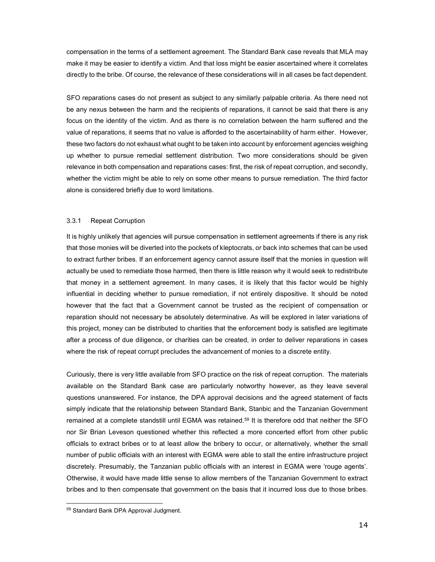compensation in the terms of a settlement agreement. The Standard Bank case reveals that MLA may make it may be easier to identify a victim. And that loss might be easier ascertained where it correlates directly to the bribe. Of course, the relevance of these considerations will in all cases be fact dependent.

SFO reparations cases do not present as subject to any similarly palpable criteria. As there need not be any nexus between the harm and the recipients of reparations, it cannot be said that there is any focus on the identity of the victim. And as there is no correlation between the harm suffered and the value of reparations, it seems that no value is afforded to the ascertainability of harm either. However, these two factors do not exhaust what ought to be taken into account by enforcement agencies weighing up whether to pursue remedial settlement distribution. Two more considerations should be given relevance in both compensation and reparations cases: first, the risk of repeat corruption, and secondly, whether the victim might be able to rely on some other means to pursue remediation. The third factor alone is considered briefly due to word limitations.

# 3.3.1 Repeat Corruption

It is highly unlikely that agencies will pursue compensation in settlement agreements if there is any risk that those monies will be diverted into the pockets of kleptocrats, or back into schemes that can be used to extract further bribes. If an enforcement agency cannot assure itself that the monies in question will actually be used to remediate those harmed, then there is little reason why it would seek to redistribute that money in a settlement agreement. In many cases, it is likely that this factor would be highly influential in deciding whether to pursue remediation, if not entirely dispositive. It should be noted however that the fact that a Government cannot be trusted as the recipient of compensation or reparation should not necessary be absolutely determinative. As will be explored in later variations of this project, money can be distributed to charities that the enforcement body is satisfied are legitimate after a process of due diligence, or charities can be created, in order to deliver reparations in cases where the risk of repeat corrupt precludes the advancement of monies to a discrete entity.

Curiously, there is very little available from SFO practice on the risk of repeat corruption. The materials available on the Standard Bank case are particularly notworthy however, as they leave several questions unanswered. For instance, the DPA approval decisions and the agreed statement of facts simply indicate that the relationship between Standard Bank, Stanbic and the Tanzanian Government remained at a complete standstill until EGMA was retained.<sup>59</sup> It is therefore odd that neither the SFO nor Sir Brian Leveson questioned whether this reflected a more concerted effort from other public officials to extract bribes or to at least allow the bribery to occur, or alternatively, whether the small number of public officials with an interest with EGMA were able to stall the entire infrastructure project discretely. Presumably, the Tanzanian public officials with an interest in EGMA were 'rouge agents'. Otherwise, it would have made little sense to allow members of the Tanzanian Government to extract bribes and to then compensate that government on the basis that it incurred loss due to those bribes.

<sup>59</sup> Standard Bank DPA Approval Judgment.